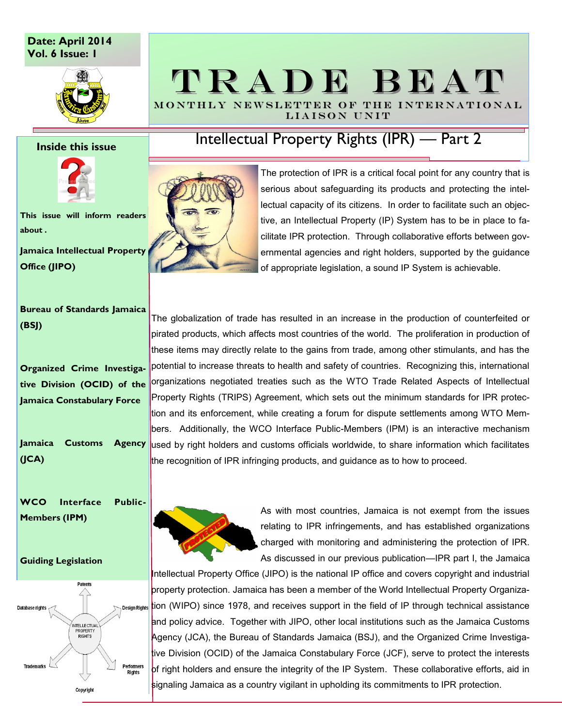# **Date: April 2014 Vol. 6 Issue: 1**



### **Inside this issue**



**This issue will inform readers about .**

**Jamaica Intellectual Property Office (JIPO)**

**Bureau of Standards Jamaica (BSJ)**

**Organized Crime Investigative Division (OCID) of the Jamaica Constabulary Force** 

**Jamaica Customs Agency (JCA)**

**WCO Interface Public-Members (IPM)**

### **Guiding Legislation**



# TRADE BEAT MONTHLY NEWSLETTER OF THE INTERNATIONAL

Intellectual Property Rights (IPR) — Part 2

LIAISON UNIT



The protection of IPR is a critical focal point for any country that is serious about safeguarding its products and protecting the intellectual capacity of its citizens. In order to facilitate such an objective, an Intellectual Property (IP) System has to be in place to facilitate IPR protection. Through collaborative efforts between governmental agencies and right holders, supported by the guidance of appropriate legislation, a sound IP System is achievable.

The globalization of trade has resulted in an increase in the production of counterfeited or pirated products, which affects most countries of the world. The proliferation in production of these items may directly relate to the gains from trade, among other stimulants, and has the potential to increase threats to health and safety of countries. Recognizing this, international organizations negotiated treaties such as the WTO Trade Related Aspects of Intellectual Property Rights (TRIPS) Agreement, which sets out the minimum standards for IPR protection and its enforcement, while creating a forum for dispute settlements among WTO Members. Additionally, the WCO Interface Public-Members (IPM) is an interactive mechanism used by right holders and customs officials worldwide, to share information which facilitates the recognition of IPR infringing products, and guidance as to how to proceed.



As with most countries, Jamaica is not exempt from the issues relating to IPR infringements, and has established organizations charged with monitoring and administering the protection of IPR. As discussed in our previous publication—IPR part I, the Jamaica

Intellectual Property Office (JIPO) is the national IP office and covers copyright and industrial property protection. Jamaica has been a member of the World Intellectual Property Organiza-**Design Rights** tion (WIPO) since 1978, and receives support in the field of IP through technical assistance and policy advice. Together with JIPO, other local institutions such as the Jamaica Customs Agency (JCA), the Bureau of Standards Jamaica (BSJ), and the Organized Crime Investigative Division (OCID) of the Jamaica Constabulary Force (JCF), serve to protect the interests of right holders and ensure the integrity of the IP System. These collaborative efforts, aid in signaling Jamaica as a country vigilant in upholding its commitments to IPR protection.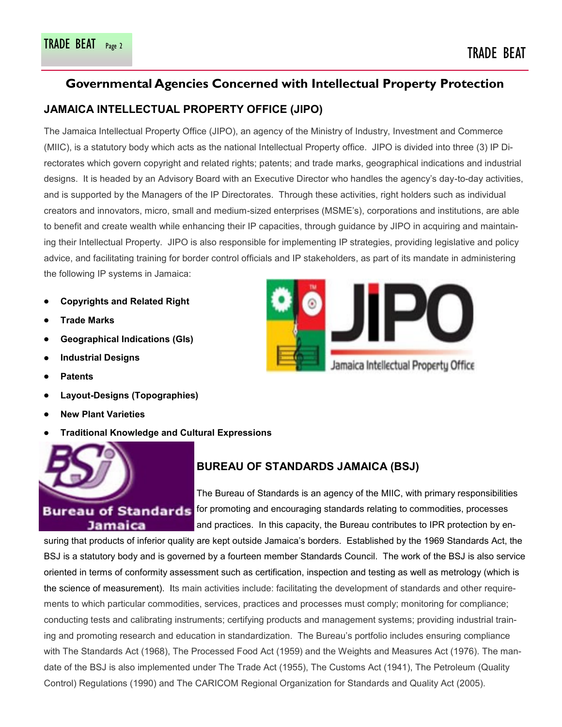# **Governmental Agencies Concerned with Intellectual Property Protection**

# **JAMAICA INTELLECTUAL PROPERTY OFFICE (JIPO)**

The Jamaica Intellectual Property Office (JIPO), an agency of the Ministry of Industry, Investment and Commerce (MIIC), is a statutory body which acts as the national Intellectual Property office. JIPO is divided into three (3) IP Directorates which govern copyright and related rights; patents; and trade marks, geographical indications and industrial designs. It is headed by an Advisory Board with an Executive Director who handles the agency's day-to-day activities, and is supported by the Managers of the IP Directorates. Through these activities, right holders such as individual creators and innovators, micro, small and medium-sized enterprises (MSME's), corporations and institutions, are able to benefit and create wealth while enhancing their IP capacities, through guidance by JIPO in acquiring and maintaining their Intellectual Property. JIPO is also responsible for implementing IP strategies, providing legislative and policy advice, and facilitating training for border control officials and IP stakeholders, as part of its mandate in administering the following IP systems in Jamaica:

- **Copyrights and Related Right**
- **Trade Marks**
- **Geographical Indications (GIs)**
- **Industrial Designs**
- **Patents**
- **Layout-Designs (Topographies)**
- **New Plant Varieties**
- **Traditional Knowledge and Cultural Expressions**



# **BUREAU OF STANDARDS JAMAICA (BSJ)**

The Bureau of Standards is an agency of the MIIC, with primary responsibilities Bureau of Standards for promoting and encouraging standards relating to commodities, processes and practices. In this capacity, the Bureau contributes to IPR protection by en-

suring that products of inferior quality are kept outside Jamaica's borders. Established by the 1969 Standards Act, the BSJ is a statutory body and is governed by a fourteen member Standards Council. The work of the BSJ is also service oriented in terms of conformity assessment such as certification, inspection and testing as well as metrology (which is the science of measurement). Its main activities include: facilitating the development of standards and other requirements to which particular commodities, services, practices and processes must comply; monitoring for compliance; conducting tests and calibrating instruments; certifying products and management systems; providing industrial training and promoting research and education in standardization. The Bureau's portfolio includes ensuring compliance with The Standards Act (1968), The Processed Food Act (1959) and the Weights and Measures Act (1976). The mandate of the BSJ is also implemented under The Trade Act (1955), The Customs Act (1941), The Petroleum (Quality Control) Regulations (1990) and The CARICOM Regional Organization for Standards and Quality Act (2005).

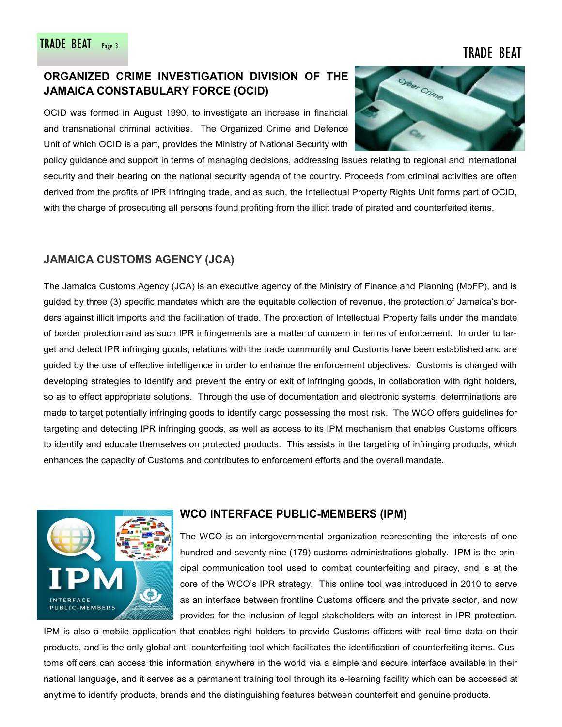# **ORGANIZED CRIME INVESTIGATION DIVISION OF THE JAMAICA CONSTABULARY FORCE (OCID)**

OCID was formed in August 1990, to investigate an increase in financial and transnational criminal activities. The Organized Crime and Defence Unit of which OCID is a part, provides the Ministry of National Security with



# **JAMAICA CUSTOMS AGENCY (JCA)**

The Jamaica Customs Agency (JCA) is an executive agency of the Ministry of Finance and Planning (MoFP), and is guided by three (3) specific mandates which are the equitable collection of revenue, the protection of Jamaica's borders against illicit imports and the facilitation of trade. The protection of Intellectual Property falls under the mandate of border protection and as such IPR infringements are a matter of concern in terms of enforcement. In order to target and detect IPR infringing goods, relations with the trade community and Customs have been established and are guided by the use of effective intelligence in order to enhance the enforcement objectives. Customs is charged with developing strategies to identify and prevent the entry or exit of infringing goods, in collaboration with right holders, so as to effect appropriate solutions. Through the use of documentation and electronic systems, determinations are made to target potentially infringing goods to identify cargo possessing the most risk. The WCO offers guidelines for targeting and detecting IPR infringing goods, as well as access to its IPM mechanism that enables Customs officers to identify and educate themselves on protected products. This assists in the targeting of infringing products, which enhances the capacity of Customs and contributes to enforcement efforts and the overall mandate.



## **WCO INTERFACE PUBLIC-MEMBERS (IPM)**

The WCO is an intergovernmental organization representing the interests of one hundred and seventy nine (179) customs administrations globally. IPM is the principal communication tool used to combat counterfeiting and piracy, and is at the core of the WCO's IPR strategy. This online tool was introduced in 2010 to serve as an interface between frontline Customs officers and the private sector, and now provides for the inclusion of legal stakeholders with an interest in IPR protection.

IPM is also a mobile application that enables right holders to provide Customs officers with real-time data on their products, and is the only global anti-counterfeiting tool which facilitates the identification of counterfeiting items. Customs officers can access this information anywhere in the world via a simple and secure interface available in their national language, and it serves as a permanent training tool through its e-learning facility which can be accessed at anytime to identify products, brands and the distinguishing features between counterfeit and genuine products.

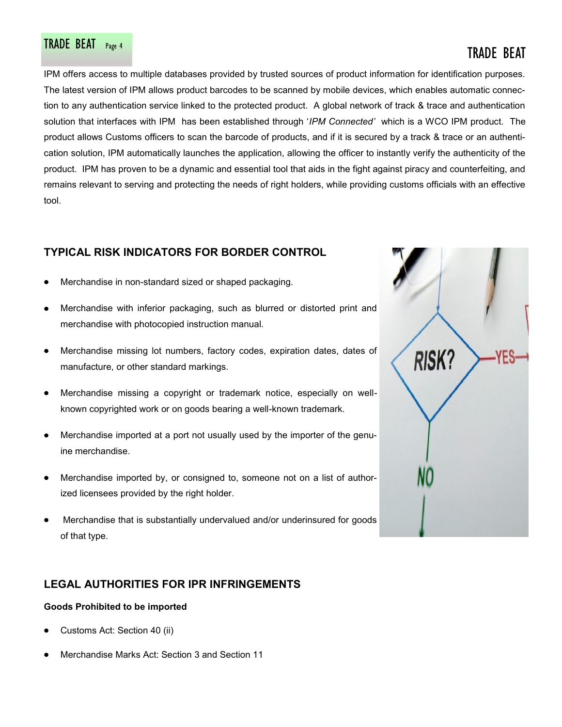# TRADE BEAT Page 4 TRADE BEAT PAGE 4 TRADE BEAT

IPM offers access to multiple databases provided by trusted sources of product information for identification purposes. The latest version of IPM allows product barcodes to be scanned by mobile devices, which enables automatic connection to any authentication service linked to the protected product. A global network of track & trace and authentication solution that interfaces with IPM has been established through '*IPM Connected'* which is a WCO IPM product. The product allows Customs officers to scan the barcode of products, and if it is secured by a track & trace or an authentication solution, IPM automatically launches the application, allowing the officer to instantly verify the authenticity of the product. IPM has proven to be a dynamic and essential tool that aids in the fight against piracy and counterfeiting, and remains relevant to serving and protecting the needs of right holders, while providing customs officials with an effective tool.

# **TYPICAL RISK INDICATORS FOR BORDER CONTROL**

- Merchandise in non-standard sized or shaped packaging.
- Merchandise with inferior packaging, such as blurred or distorted print and merchandise with photocopied instruction manual.
- Merchandise missing lot numbers, factory codes, expiration dates, dates of manufacture, or other standard markings.
- Merchandise missing a copyright or trademark notice, especially on wellknown copyrighted work or on goods bearing a well-known trademark.
- Merchandise imported at a port not usually used by the importer of the genuine merchandise.
- Merchandise imported by, or consigned to, someone not on a list of authorized licensees provided by the right holder.
- Merchandise that is substantially undervalued and/or underinsured for goods of that type.

# **LEGAL AUTHORITIES FOR IPR INFRINGEMENTS**

### **Goods Prohibited to be imported**

- Customs Act: Section 40 (ii)
- Merchandise Marks Act: Section 3 and Section 11